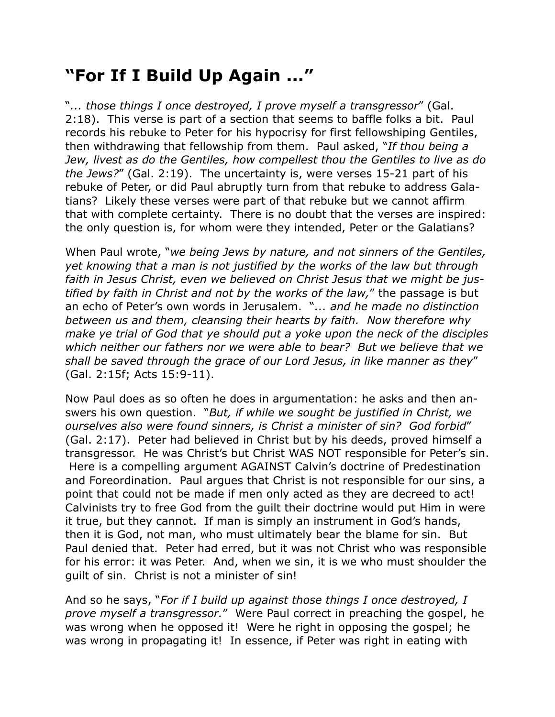## **"For If I Build Up Again ..."**

"*... those things I once destroyed, I prove myself a transgressor*" (Gal. 2:18). This verse is part of a section that seems to baffle folks a bit. Paul records his rebuke to Peter for his hypocrisy for first fellowshiping Gentiles, then withdrawing that fellowship from them. Paul asked, "*If thou being a Jew, livest as do the Gentiles, how compellest thou the Gentiles to live as do the Jews?*" (Gal. 2:19). The uncertainty is, were verses 15-21 part of his rebuke of Peter, or did Paul abruptly turn from that rebuke to address Galatians? Likely these verses were part of that rebuke but we cannot affirm that with complete certainty. There is no doubt that the verses are inspired: the only question is, for whom were they intended, Peter or the Galatians?

When Paul wrote, "*we being Jews by nature, and not sinners of the Gentiles, yet knowing that a man is not justified by the works of the law but through faith in Jesus Christ, even we believed on Christ Jesus that we might be justified by faith in Christ and not by the works of the law,*" the passage is but an echo of Peter's own words in Jerusalem. "*... and he made no distinction between us and them, cleansing their hearts by faith. Now therefore why make ye trial of God that ye should put a yoke upon the neck of the disciples which neither our fathers nor we were able to bear? But we believe that we shall be saved through the grace of our Lord Jesus, in like manner as they*" (Gal. 2:15f; Acts 15:9-11).

Now Paul does as so often he does in argumentation: he asks and then answers his own question. "*But, if while we sought be justified in Christ, we ourselves also were found sinners, is Christ a minister of sin? God forbid*" (Gal. 2:17). Peter had believed in Christ but by his deeds, proved himself a transgressor. He was Christ's but Christ WAS NOT responsible for Peter's sin. Here is a compelling argument AGAINST Calvin's doctrine of Predestination and Foreordination. Paul argues that Christ is not responsible for our sins, a point that could not be made if men only acted as they are decreed to act! Calvinists try to free God from the guilt their doctrine would put Him in were it true, but they cannot. If man is simply an instrument in God's hands, then it is God, not man, who must ultimately bear the blame for sin. But Paul denied that. Peter had erred, but it was not Christ who was responsible for his error: it was Peter. And, when we sin, it is we who must shoulder the guilt of sin. Christ is not a minister of sin!

And so he says, "*For if I build up against those things I once destroyed, I prove myself a transgressor.*" Were Paul correct in preaching the gospel, he was wrong when he opposed it! Were he right in opposing the gospel; he was wrong in propagating it! In essence, if Peter was right in eating with